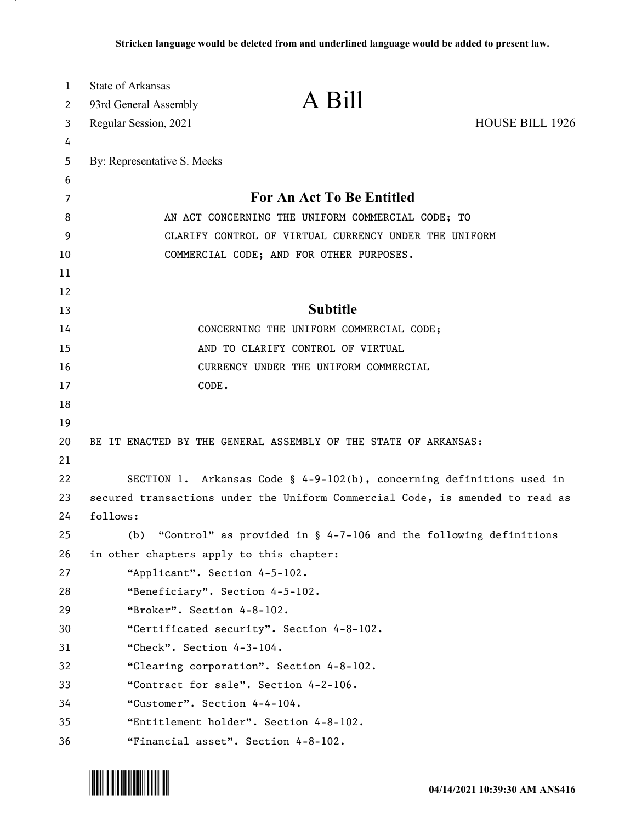| 1       | <b>State of Arkansas</b>                 | A Bill                                                                        |                 |
|---------|------------------------------------------|-------------------------------------------------------------------------------|-----------------|
| 2       | 93rd General Assembly                    |                                                                               |                 |
| 3       | Regular Session, 2021                    |                                                                               | HOUSE BILL 1926 |
| 4       |                                          |                                                                               |                 |
| 5       | By: Representative S. Meeks              |                                                                               |                 |
| 6       |                                          | For An Act To Be Entitled                                                     |                 |
| 7       |                                          |                                                                               |                 |
| 8       |                                          | AN ACT CONCERNING THE UNIFORM COMMERCIAL CODE; TO                             |                 |
| 9<br>10 |                                          | CLARIFY CONTROL OF VIRTUAL CURRENCY UNDER THE UNIFORM                         |                 |
| 11      |                                          | COMMERCIAL CODE; AND FOR OTHER PURPOSES.                                      |                 |
| 12      |                                          |                                                                               |                 |
| 13      |                                          | <b>Subtitle</b>                                                               |                 |
| 14      |                                          | CONCERNING THE UNIFORM COMMERCIAL CODE;                                       |                 |
| 15      |                                          | AND TO CLARIFY CONTROL OF VIRTUAL                                             |                 |
| 16      |                                          | CURRENCY UNDER THE UNIFORM COMMERCIAL                                         |                 |
| 17      | CODE.                                    |                                                                               |                 |
| 18      |                                          |                                                                               |                 |
| 19      |                                          |                                                                               |                 |
| 20      |                                          | BE IT ENACTED BY THE GENERAL ASSEMBLY OF THE STATE OF ARKANSAS:               |                 |
| 21      |                                          |                                                                               |                 |
| 22      |                                          | SECTION 1. Arkansas Code § 4-9-102(b), concerning definitions used in         |                 |
| 23      |                                          | secured transactions under the Uniform Commercial Code, is amended to read as |                 |
| 24      | follows:                                 |                                                                               |                 |
| 25      | (b)                                      | "Control" as provided in $\S$ 4-7-106 and the following definitions           |                 |
| 26      | in other chapters apply to this chapter: |                                                                               |                 |
| 27      | "Applicant". Section 4-5-102.            |                                                                               |                 |
| 28      |                                          | "Beneficiary". Section 4-5-102.                                               |                 |
| 29      | "Broker". Section 4-8-102.               |                                                                               |                 |
| 30      |                                          | "Certificated security". Section 4-8-102.                                     |                 |
| 31      | "Check". Section 4-3-104.                |                                                                               |                 |
| 32      |                                          | "Clearing corporation". Section 4-8-102.                                      |                 |
| 33      |                                          | "Contract for sale". Section 4-2-106.                                         |                 |
| 34      | "Customer". Section 4-4-104.             |                                                                               |                 |
| 35      |                                          | "Entitlement holder". Section 4-8-102.                                        |                 |
| 36      |                                          | "Financial asset". Section 4-8-102.                                           |                 |

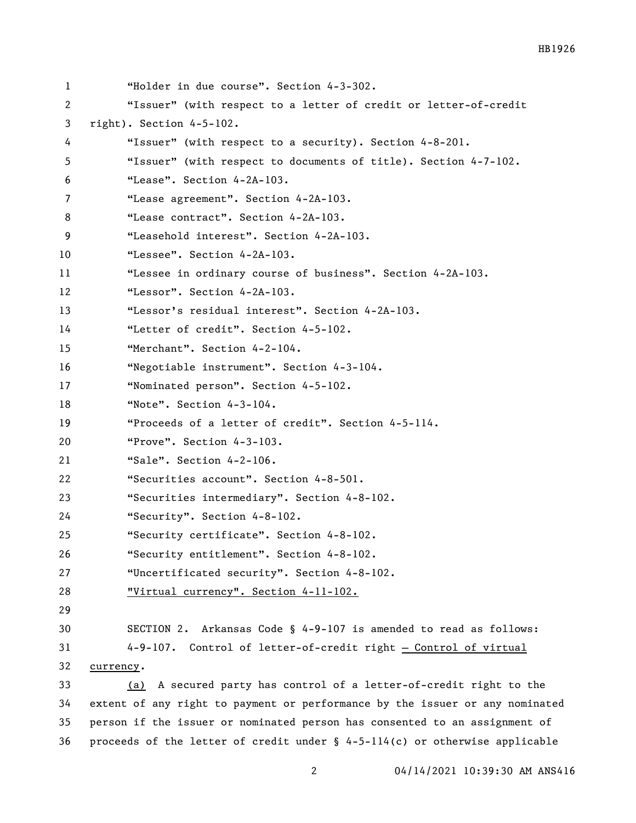| 1  | "Holder in due course". Section 4-3-302.                                       |
|----|--------------------------------------------------------------------------------|
| 2  | "Issuer" (with respect to a letter of credit or letter-of-credit               |
| 3  | right). Section 4-5-102.                                                       |
| 4  | "Issuer" (with respect to a security). Section 4-8-201.                        |
| 5  | "Issuer" (with respect to documents of title). Section 4-7-102.                |
| 6  | "Lease". Section 4-2A-103.                                                     |
| 7  | "Lease agreement". Section 4-2A-103.                                           |
| 8  | "Lease contract". Section 4-2A-103.                                            |
| 9  | "Leasehold interest". Section 4-2A-103.                                        |
| 10 | "Lessee". Section 4-2A-103.                                                    |
| 11 | "Lessee in ordinary course of business". Section 4-2A-103.                     |
| 12 | "Lessor". Section 4-2A-103.                                                    |
| 13 | "Lessor's residual interest". Section 4-2A-103.                                |
| 14 | "Letter of credit". Section 4-5-102.                                           |
| 15 | "Merchant". Section 4-2-104.                                                   |
| 16 | "Negotiable instrument". Section 4-3-104.                                      |
| 17 | "Nominated person". Section 4-5-102.                                           |
| 18 | "Note". Section 4-3-104.                                                       |
| 19 | "Proceeds of a letter of credit". Section 4-5-114.                             |
| 20 | "Prove". Section 4-3-103.                                                      |
| 21 | "Sale". Section 4-2-106.                                                       |
| 22 | "Securities account". Section 4-8-501.                                         |
| 23 | "Securities intermediary". Section 4-8-102.                                    |
| 24 | "Security". Section 4-8-102.                                                   |
| 25 | "Security certificate". Section 4-8-102.                                       |
| 26 | "Security entitlement". Section 4-8-102.                                       |
| 27 | "Uncertificated security". Section 4-8-102.                                    |
| 28 | <u> "Virtual currency". Section 4-11-102.</u>                                  |
| 29 |                                                                                |
| 30 | SECTION 2. Arkansas Code § 4-9-107 is amended to read as follows:              |
| 31 | 4-9-107. Control of letter-of-credit right - Control of virtual                |
| 32 | currency.                                                                      |
| 33 | A secured party has control of a letter-of-credit right to the<br>(a)          |
| 34 | extent of any right to payment or performance by the issuer or any nominated   |
| 35 | person if the issuer or nominated person has consented to an assignment of     |
| 36 | proceeds of the letter of credit under $\S$ 4-5-114(c) or otherwise applicable |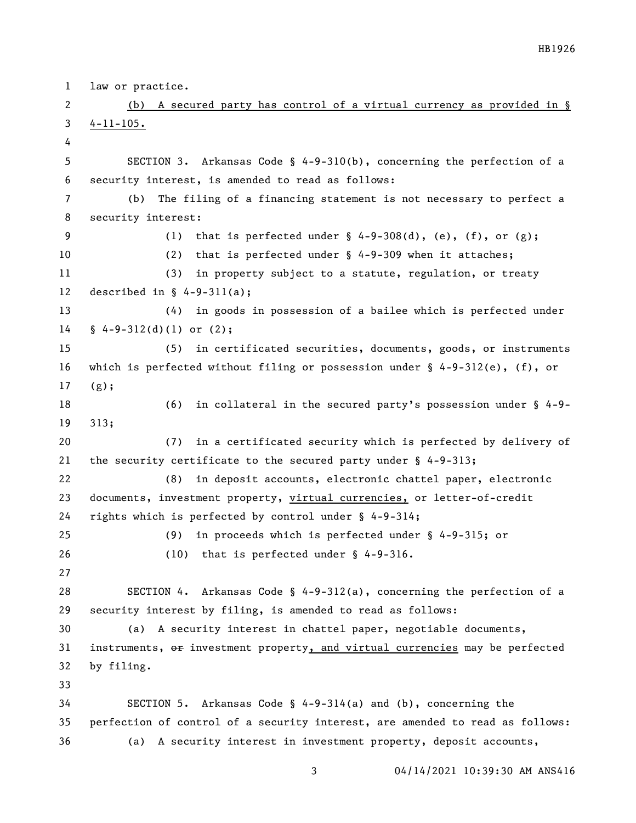law or practice. (b) A secured party has control of a virtual currency as provided in § 4-11-105. SECTION 3. Arkansas Code § 4-9-310(b), concerning the perfection of a security interest, is amended to read as follows: (b) The filing of a financing statement is not necessary to perfect a security interest: 9 (1) that is perfected under  $\S$  4-9-308(d), (e), (f), or (g); (2) that is perfected under § 4-9-309 when it attaches; (3) in property subject to a statute, regulation, or treaty described in § 4-9-311(a); (4) in goods in possession of a bailee which is perfected under § 4-9-312(d)(1) or (2); (5) in certificated securities, documents, goods, or instruments which is perfected without filing or possession under § 4-9-312(e), (f), or (g); (6) in collateral in the secured party's possession under § 4-9- 313; (7) in a certificated security which is perfected by delivery of the security certificate to the secured party under § 4-9-313; (8) in deposit accounts, electronic chattel paper, electronic documents, investment property, virtual currencies, or letter-of-credit rights which is perfected by control under § 4-9-314; (9) in proceeds which is perfected under § 4-9-315; or (10) that is perfected under § 4-9-316. SECTION 4. Arkansas Code § 4-9-312(a), concerning the perfection of a security interest by filing, is amended to read as follows: (a) A security interest in chattel paper, negotiable documents, 31 instruments,  $\Theta$  investment property, and virtual currencies may be perfected by filing. SECTION 5. Arkansas Code § 4-9-314(a) and (b), concerning the perfection of control of a security interest, are amended to read as follows: (a) A security interest in investment property, deposit accounts,

04/14/2021 10:39:30 AM ANS416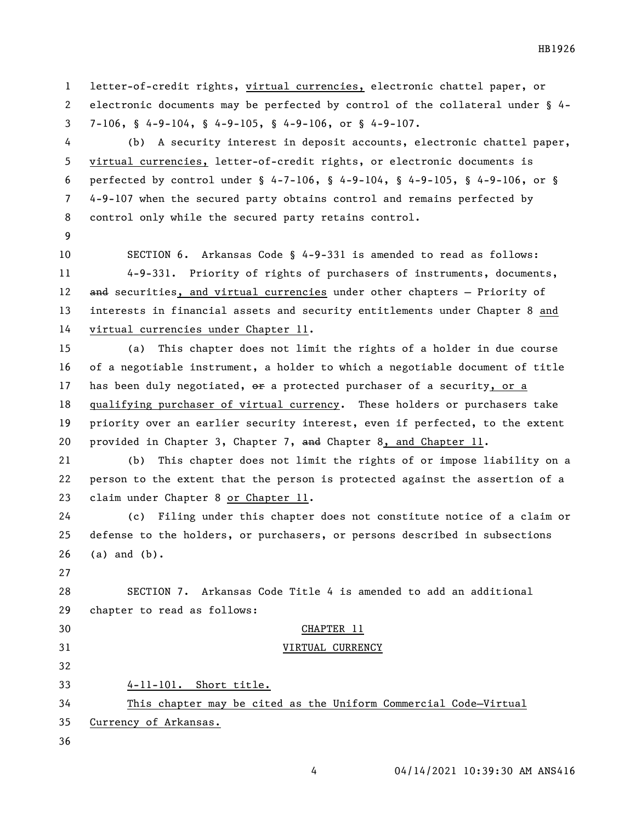letter-of-credit rights, virtual currencies, electronic chattel paper, or electronic documents may be perfected by control of the collateral under § 4- 7-106, § 4-9-104, § 4-9-105, § 4-9-106, or § 4-9-107.

 (b) A security interest in deposit accounts, electronic chattel paper, virtual currencies, letter-of-credit rights, or electronic documents is perfected by control under § 4-7-106, § 4-9-104, § 4-9-105, § 4-9-106, or § 4-9-107 when the secured party obtains control and remains perfected by control only while the secured party retains control.

 SECTION 6. Arkansas Code § 4-9-331 is amended to read as follows: 4-9-331. Priority of rights of purchasers of instruments, documents, 12 and securities, and virtual currencies under other chapters - Priority of interests in financial assets and security entitlements under Chapter 8 and virtual currencies under Chapter 11.

 (a) This chapter does not limit the rights of a holder in due course of a negotiable instrument, a holder to which a negotiable document of title 17 has been duly negotiated,  $\theta$  a protected purchaser of a security, or a qualifying purchaser of virtual currency. These holders or purchasers take priority over an earlier security interest, even if perfected, to the extent provided in Chapter 3, Chapter 7, and Chapter 8, and Chapter 11.

 (b) This chapter does not limit the rights of or impose liability on a person to the extent that the person is protected against the assertion of a claim under Chapter 8 or Chapter 11.

 (c) Filing under this chapter does not constitute notice of a claim or defense to the holders, or purchasers, or persons described in subsections (a) and (b).

 SECTION 7. Arkansas Code Title 4 is amended to add an additional chapter to read as follows:

## CHAPTER 11

## VIRTUAL CURRENCY

4-11-101. Short title.

 This chapter may be cited as the Uniform Commercial Code—Virtual Currency of Arkansas.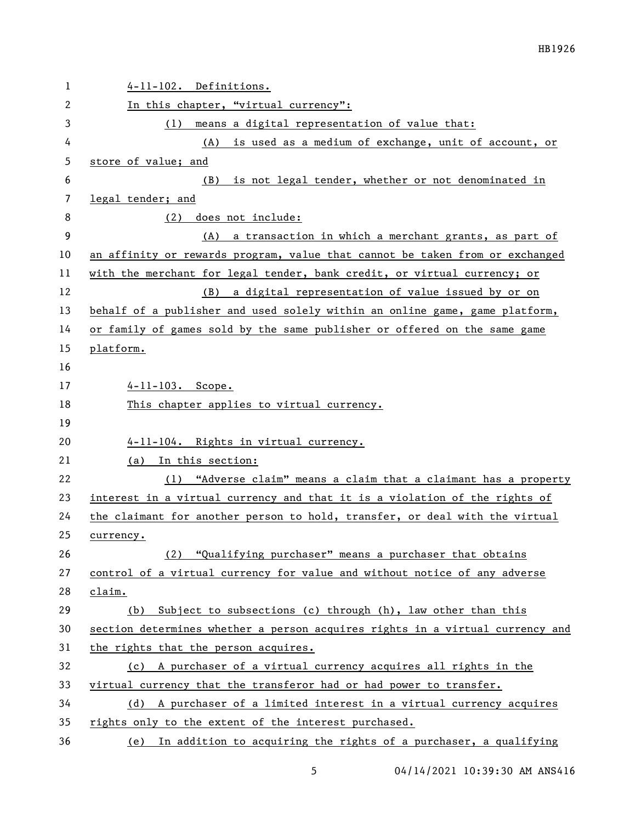| $\mathbf{1}$ | 4-11-102. Definitions.                                                        |
|--------------|-------------------------------------------------------------------------------|
| 2            | In this chapter, "virtual currency":                                          |
| 3            | (1) means a digital representation of value that:                             |
| 4            | (A) is used as a medium of exchange, unit of account, or                      |
| 5            | store of value; and                                                           |
| 6            | is not legal tender, whether or not denominated in<br>(B)                     |
| 7            | legal tender; and                                                             |
| 8            | (2) does not include:                                                         |
| 9            | a transaction in which a merchant grants, as part of<br>(A)                   |
| 10           | an affinity or rewards program, value that cannot be taken from or exchanged  |
| 11           | with the merchant for legal tender, bank credit, or virtual currency; or      |
| 12           | (B) a digital representation of value issued by or on                         |
| 13           | behalf of a publisher and used solely within an online game, game platform,   |
| 14           | or family of games sold by the same publisher or offered on the same game     |
| 15           | platform.                                                                     |
| 16           |                                                                               |
| 17           | $4 - 11 - 103$ . Scope.                                                       |
| 18           | This chapter applies to virtual currency.                                     |
| 19           |                                                                               |
| 20           | 4-11-104. Rights in virtual currency.                                         |
| 21           | (a) In this section:                                                          |
| 22           | (1) "Adverse claim" means a claim that a claimant has a property              |
| 23           | interest in a virtual currency and that it is a violation of the rights of    |
| 24           | the claimant for another person to hold, transfer, or deal with the virtual   |
| 25           | currency.                                                                     |
| 26           | (2) "Qualifying purchaser" means a purchaser that obtains                     |
| 27           | control of a virtual currency for value and without notice of any adverse     |
| 28           | claim.                                                                        |
| 29           | (b) Subject to subsections (c) through (h), law other than this               |
| 30           | section determines whether a person acquires rights in a virtual currency and |
| 31           | the rights that the person acquires.                                          |
| 32           | (c) A purchaser of a virtual currency acquires all rights in the              |
| 33           | virtual currency that the transferor had or had power to transfer.            |
| 34           | (d) A purchaser of a limited interest in a virtual currency acquires          |
| 35           | rights only to the extent of the interest purchased.                          |
| 36           | (e) In addition to acquiring the rights of a purchaser, a qualifying          |

04/14/2021 10:39:30 AM ANS416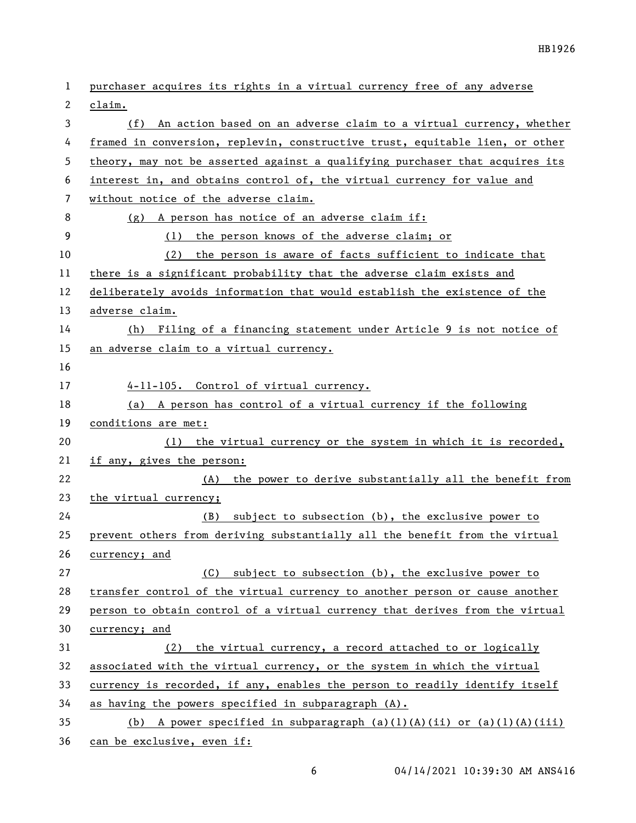| 1  | purchaser acquires its rights in a virtual currency free of any adverse      |
|----|------------------------------------------------------------------------------|
| 2  | claim.                                                                       |
| 3  | (f) An action based on an adverse claim to a virtual currency, whether       |
| 4  | framed in conversion, replevin, constructive trust, equitable lien, or other |
| 5  | theory, may not be asserted against a qualifying purchaser that acquires its |
| 6  | interest in, and obtains control of, the virtual currency for value and      |
| 7  | without notice of the adverse claim.                                         |
| 8  | (g) A person has notice of an adverse claim if:                              |
| 9  | (1) the person knows of the adverse claim; or                                |
| 10 | (2) the person is aware of facts sufficient to indicate that                 |
| 11 | there is a significant probability that the adverse claim exists and         |
| 12 | deliberately avoids information that would establish the existence of the    |
| 13 | adverse claim.                                                               |
| 14 | (h) Filing of a financing statement under Article 9 is not notice of         |
| 15 | an adverse claim to a virtual currency.                                      |
| 16 |                                                                              |
| 17 | 4-11-105. Control of virtual currency.                                       |
| 18 | (a) A person has control of a virtual currency if the following              |
| 19 | conditions are met:                                                          |
| 20 | (1) the virtual currency or the system in which it is recorded,              |
| 21 | if any, gives the person:                                                    |
| 22 | (A) the power to derive substantially all the benefit from                   |
| 23 | the virtual currency;                                                        |
| 24 | subject to subsection (b), the exclusive power to<br>(B)                     |
| 25 | prevent others from deriving substantially all the benefit from the virtual  |
| 26 | currency; and                                                                |
| 27 | subject to subsection (b), the exclusive power to<br>(C)                     |
| 28 | transfer control of the virtual currency to another person or cause another  |
| 29 | person to obtain control of a virtual currency that derives from the virtual |
| 30 | currency; and                                                                |
| 31 | the virtual currency, a record attached to or logically<br>(2)               |
| 32 | associated with the virtual currency, or the system in which the virtual     |
| 33 | currency is recorded, if any, enables the person to readily identify itself  |
| 34 | as having the powers specified in subparagraph (A).                          |
| 35 | A power specified in subparagraph $(a)(1)(A)(ii)$ or $(a)(1)(A)(iii)$<br>(b) |
| 36 | can be exclusive, even if:                                                   |